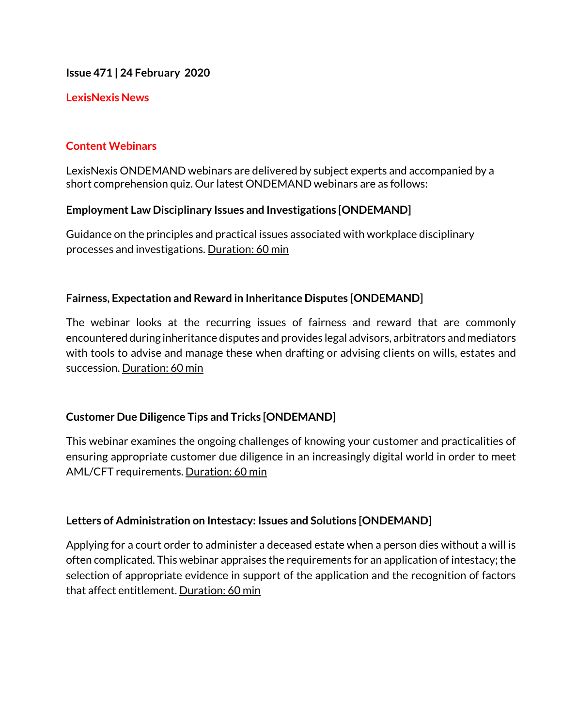**Issue 471 | 24 February 2020**

# **LexisNexis News**

# **Content Webinars**

LexisNexis ONDEMAND webinars are delivered by subject experts and accompanied by a short comprehension quiz. Our latest ONDEMAND webinars are as follows:

# **Employment Law Disciplinary Issues and Investigations [ONDEMAND]**

Guidance on the principles and practical issues associated with workplace disciplinary processes and investigations. Duration: 60 min

# **Fairness, Expectation and Reward in Inheritance Disputes [ONDEMAND]**

The webinar looks at the recurring issues of fairness and reward that are commonly encountered during inheritance disputes and provides legal advisors, arbitrators and mediators with tools to advise and manage these when drafting or advising clients on wills, estates and succession. Duration: 60 min

# **Customer Due Diligence Tips and Tricks [ONDEMAND]**

This webinar examines the ongoing challenges of knowing your customer and practicalities of ensuring appropriate customer due diligence in an increasingly digital world in order to meet AML/CFT requirements. Duration: 60 min

# **Letters of Administration on Intestacy: Issues and Solutions [ONDEMAND]**

Applying for a court order to administer a deceased estate when a person dies without a will is often complicated. This webinar appraises the requirements for an application of intestacy; the selection of appropriate evidence in support of the application and the recognition of factors that affect entitlement. Duration: 60 min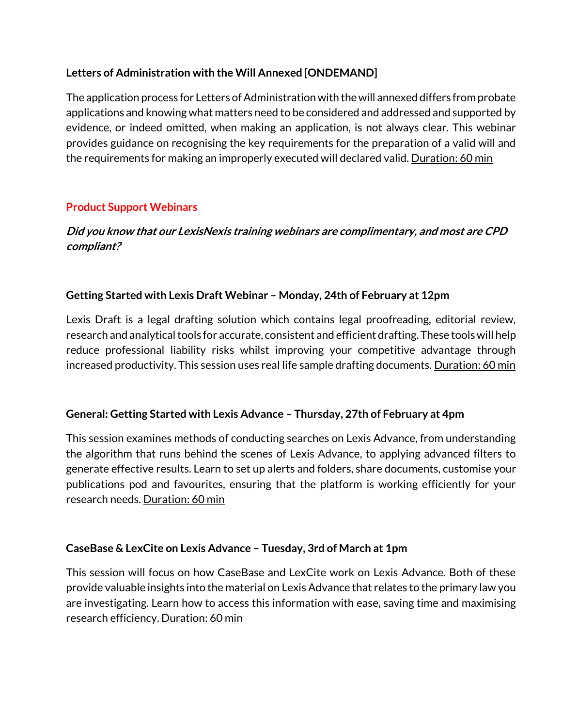# **Letters of Administration with the Will Annexed [ONDEMAND]**

The application process for Letters of Administration with the will annexed differs from probate applications and knowing what matters need to be considered and addressed and supported by evidence, or indeed omitted, when making an application, is not always clear. This webinar provides guidance on recognising the key requirements for the preparation of a valid will and the requirements for making an improperly executed will declared valid. Duration: 60 min

# **Product Support Webinars**

# **Did you know that our LexisNexis training webinars are complimentary, and most are CPD compliant?**

# **Getting Started with Lexis Draft Webinar – Monday, 24th of February at 12pm**

Lexis Draft is a legal drafting solution which contains legal proofreading, editorial review, research and analytical tools for accurate, consistent and efficient drafting. These tools will help reduce professional liability risks whilst improving your competitive advantage through increased productivity. This session uses real life sample drafting documents. Duration: 60 min

# **General: Getting Started with Lexis Advance – Thursday, 27th of February at 4pm**

This session examines methods of conducting searches on Lexis Advance, from understanding the algorithm that runs behind the scenes of Lexis Advance, to applying advanced filters to generate effective results. Learn to set up alerts and folders, share documents, customise your publications pod and favourites, ensuring that the platform is working efficiently for your research needs. Duration: 60 min

# **CaseBase & LexCite on Lexis Advance – Tuesday, 3rd of March at 1pm**

This session will focus on how CaseBase and LexCite work on Lexis Advance. Both of these provide valuable insights into the material on Lexis Advance that relates to the primary law you are investigating. Learn how to access this information with ease, saving time and maximising research efficiency. Duration: 60 min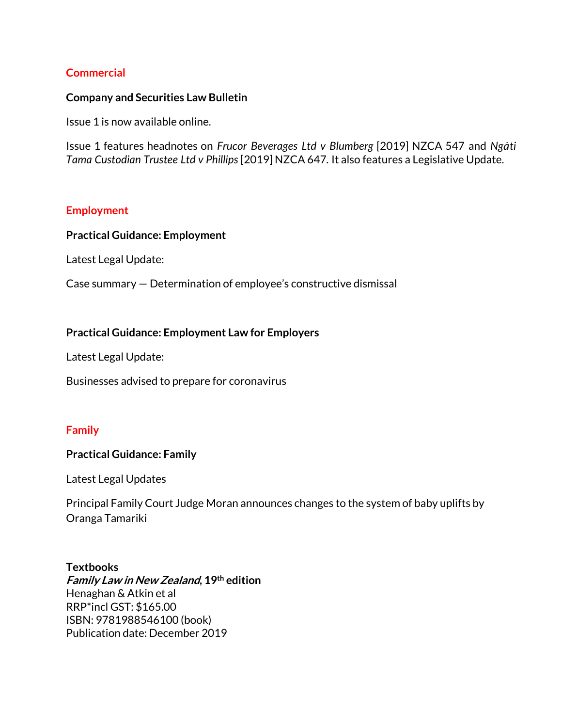#### **Commercial**

#### **Company and Securities Law Bulletin**

Issue 1 is now available online.

Issue 1 features headnotes on *Frucor Beverages Ltd v Blumberg* [2019] NZCA 547 and *Ngati Tama Custodian Trustee Ltd v Phillips* [2019] NZCA 647*.* It also features a Legislative Update.

#### **Employment**

#### **Practical Guidance: Employment**

Latest Legal Update:

Case summary — Determination of employee's constructive dismissal

#### **Practical Guidance: Employment Law for Employers**

Latest Legal Update:

Businesses advised to prepare for coronavirus

#### **Family**

#### **Practical Guidance: Family**

Latest Legal Updates

Principal Family Court Judge Moran announces changes to the system of baby uplifts by Oranga Tamariki

#### **Textbooks**

**Family Law in New Zealand, 19th edition** Henaghan & Atkin et al RRP\*incl GST: \$165.00 ISBN: 9781988546100 (book) Publication date: December 2019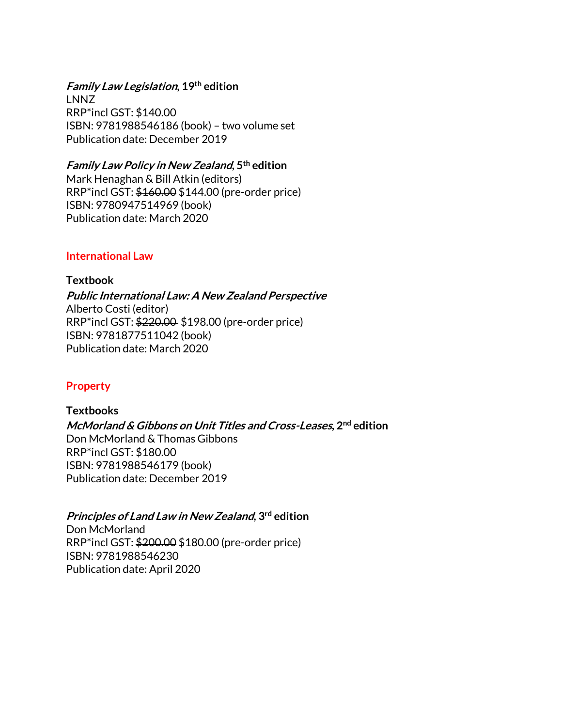# **Family Law Legislation, 19th edition**

LNNZ RRP\*incl GST: \$140.00 ISBN: 9781988546186 (book) – two volume set Publication date: December 2019

#### **Family Law Policy in New Zealand, 5th edition**

Mark Henaghan & Bill Atkin (editors) RRP\*incl GST: \$160.00 \$144.00 (pre-order price) ISBN: 9780947514969 (book) Publication date: March 2020

### **International Law**

**Textbook Public International Law: A New Zealand Perspective**  Alberto Costi (editor) RRP\*incl GST: \$220.00 \$198.00 (pre-order price) ISBN: 9781877511042 (book) Publication date: March 2020

# **Property**

**Textbooks McMorland & Gibbons on Unit Titles and Cross-Leases, 2nd edition** Don McMorland & Thomas Gibbons RRP\*incl GST: \$180.00 ISBN: 9781988546179 (book) Publication date: December 2019

# **Principles of Land Law in New Zealand, 3rd edition**

Don McMorland RRP\*incl GST: \$200.00 \$180.00 (pre-order price) ISBN: 9781988546230 Publication date: April 2020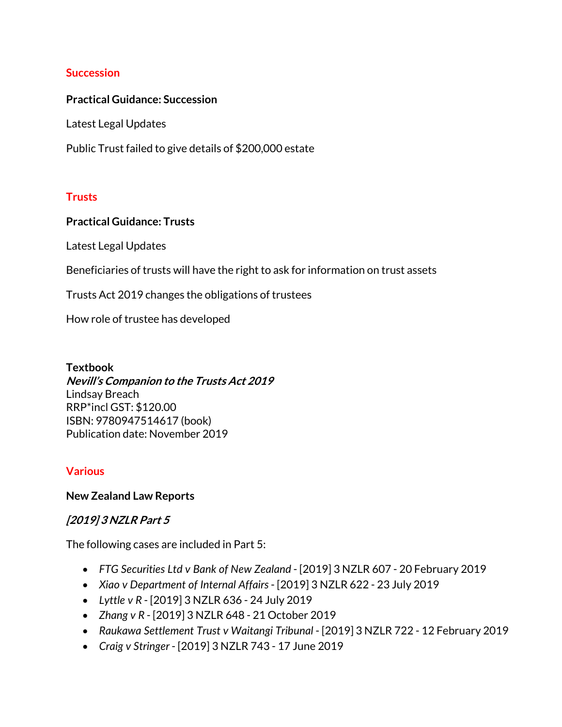### **Succession**

#### **Practical Guidance: Succession**

Latest Legal Updates

Public Trust failed to give details of \$200,000 estate

### **Trusts**

### **Practical Guidance: Trusts**

Latest Legal Updates

Beneficiaries of trusts will have the right to ask for information on trust assets

Trusts Act 2019 changes the obligations of trustees

How role of trustee has developed

**Textbook Nevill's Companion to the Trusts Act 2019** Lindsay Breach

RRP\*incl GST: \$120.00 ISBN: 9780947514617 (book) Publication date: November 2019

# **Various**

#### **New Zealand Law Reports**

# **[2019] 3 NZLR Part 5**

The following cases are included in Part 5:

- *FTG Securities Ltd v Bank of New Zealand* [2019] 3 NZLR 607 20 February 2019
- *Xiao v Department of Internal Affairs* [2019] 3 NZLR 622 23 July 2019
- *Lyttle v R* [2019] 3 NZLR 636 24 July 2019
- *Zhang v R* [2019] 3 NZLR 648 21 October 2019
- *Raukawa Settlement Trust v Waitangi Tribunal* [2019] 3 NZLR 722 12 February 2019
- *Craig v Stringer* [2019] 3 NZLR 743 17 June 2019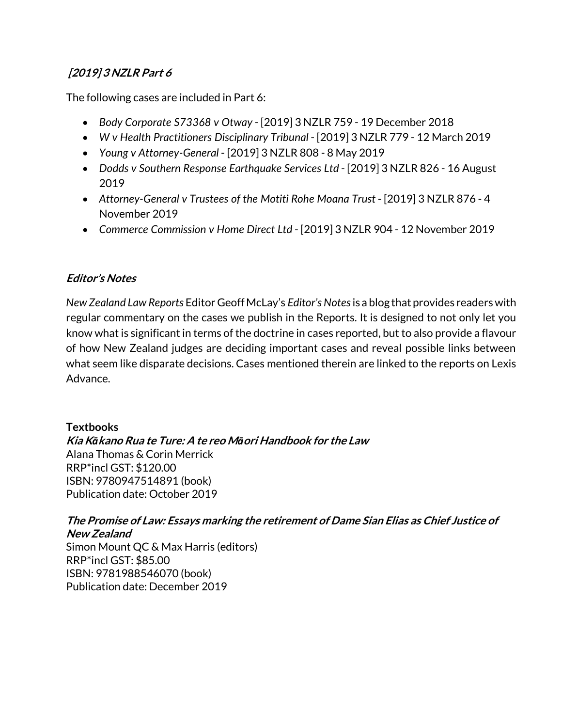# **[2019] 3 NZLR Part 6**

The following cases are included in Part 6:

- *Body Corporate S73368 v Otway* [2019] 3 NZLR 759 19 December 2018
- *W v Health Practitioners Disciplinary Tribunal* [2019] 3 NZLR 779 12 March 2019
- *Young v Attorney-General* [2019] 3 NZLR 808 8 May 2019
- *Dodds v Southern Response Earthquake Services Ltd* [2019] 3 NZLR 826 16 August 2019
- *Attorney-General v Trustees of the Motiti Rohe Moana Trust* [2019] 3 NZLR 876 4 November 2019
- *Commerce Commission v Home Direct Ltd* [2019] 3 NZLR 904 12 November 2019

# **Editor's Notes**

*New Zealand Law Reports* Editor Geoff McLay's *Editor's Notes* is a blog that provides readers with regular commentary on the cases we publish in the Reports. It is designed to not only let you know what is significant in terms of the doctrine in cases reported, but to also provide a flavour of how New Zealand judges are deciding important cases and reveal possible links between what seem like disparate decisions. Cases mentioned therein are linked to the reports on Lexis Advance.

# **Textbooks**

**Kia K***ā***kano Rua te Ture: A te reo M***ā***ori Handbook for the Law** Alana Thomas & Corin Merrick RRP\*incl GST: \$120.00 ISBN: 9780947514891 (book) Publication date: October 2019

# **The Promise of Law: Essays marking the retirement of Dame Sian Elias as Chief Justice of New Zealand**  Simon Mount QC & Max Harris (editors)

RRP\*incl GST: \$85.00 ISBN: 9781988546070 (book) Publication date: December 2019